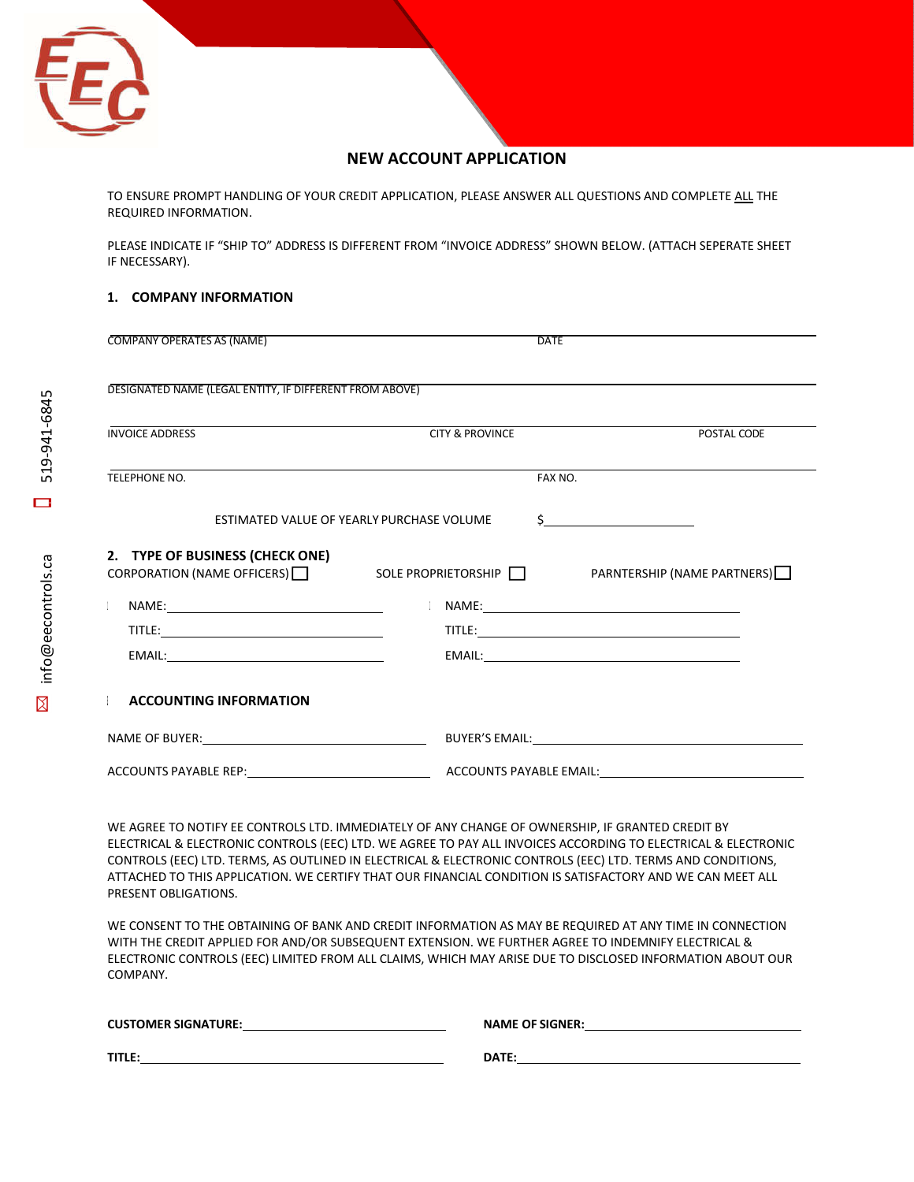

# **NEW ACCOUNT APPLICATION**

TO ENSURE PROMPT HANDLING OF YOUR CREDIT APPLICATION, PLEASE ANSWER ALL QUESTIONS AND COMPLETE ALL THE REQUIRED INFORMATION.

PLEASE INDICATE IF "SHIP TO" ADDRESS IS DIFFERENT FROM "INVOICE ADDRESS" SHOWN BELOW. (ATTACH SEPERATE SHEET IF NECESSARY).

# **1. COMPANY INFORMATION**

| COMPANY OPERATES AS (NAME)                                                                                                                      | DATE                                      |               |
|-------------------------------------------------------------------------------------------------------------------------------------------------|-------------------------------------------|---------------|
| DESIGNATED NAME (LEGAL ENTITY, IF DIFFERENT FROM ABOVE)                                                                                         |                                           |               |
| <b>INVOICE ADDRESS</b>                                                                                                                          | <b>CITY &amp; PROVINCE</b>                | POSTAL CODE   |
| TELEPHONE NO.                                                                                                                                   | FAX NO.                                   |               |
|                                                                                                                                                 | ESTIMATED VALUE OF YEARLY PURCHASE VOLUME | $\frac{1}{2}$ |
| 2. TYPE OF BUSINESS (CHECK ONE)<br>CORPORATION (NAME OFFICERS)   SOLE PROPRIETORSHIP   PARNTERSHIP (NAME PARTNERS)   SOLE PROPRIETORSHIP   SOLE |                                           |               |
|                                                                                                                                                 |                                           |               |
|                                                                                                                                                 |                                           |               |
|                                                                                                                                                 |                                           |               |
| <b>ACCOUNTING INFORMATION</b>                                                                                                                   |                                           |               |
|                                                                                                                                                 |                                           |               |
| ACCOUNTS PAYABLE REP: ACCOUNTS PAYABLE EMAIL:                                                                                                   |                                           |               |

WE AGREE TO NOTIFY EE CONTROLS LTD. IMMEDIATELY OF ANY CHANGE OF OWNERSHIP, IF GRANTED CREDIT BY ELECTRICAL & ELECTRONIC CONTROLS (EEC) LTD. WE AGREE TO PAY ALL INVOICES ACCORDING TO ELECTRICAL & ELECTRONIC CONTROLS (EEC) LTD. TERMS, AS OUTLINED IN ELECTRICAL & ELECTRONIC CONTROLS (EEC) LTD. TERMS AND CONDITIONS, ATTACHED TO THIS APPLICATION. WE CERTIFY THAT OUR FINANCIAL CONDITION IS SATISFACTORY AND WE CAN MEET ALL PRESENT OBLIGATIONS.

WE CONSENT TO THE OBTAINING OF BANK AND CREDIT INFORMATION AS MAY BE REQUIRED AT ANY TIME IN CONNECTION WITH THE CREDIT APPLIED FOR AND/OR SUBSEQUENT EXTENSION. WE FURTHER AGREE TO INDEMNIFY ELECTRICAL & ELECTRONIC CONTROLS (EEC) LIMITED FROM ALL CLAIMS, WHICH MAY ARISE DUE TO DISCLOSED INFORMATION ABOUT OUR COMPANY.

| <b>CUSTOMER SIGNATURE:</b> | <b>NAME OF SIGNER:</b> |
|----------------------------|------------------------|
| TITLE:                     | DATE:                  |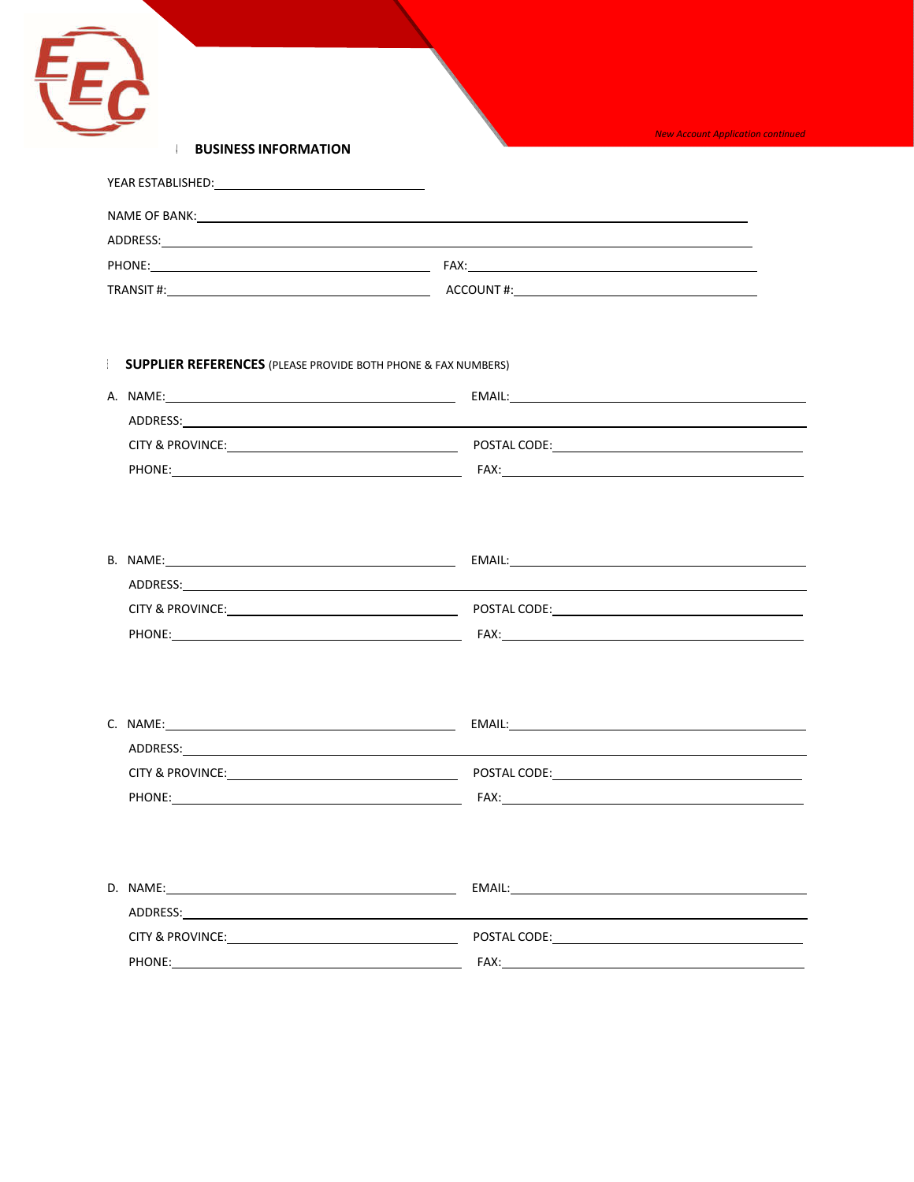

**4. BUSINESS INFORMATION**

| YEAR ESTABLISHED: |                                                          |  |
|-------------------|----------------------------------------------------------|--|
| NAME OF BANK:     | <u> 1989 - John Stone, amerikansk politiker († 1989)</u> |  |
| ADDRESS:          |                                                          |  |
| PHONE:            | FAX:                                                     |  |
| TRANSIT#:         | ACCOUNT#:                                                |  |

# 5. **SUPPLIER REFERENCES** (PLEASE PROVIDE BOTH PHONE & FAX NUMBERS)

| A. NAME:                    | EMAIL:       |
|-----------------------------|--------------|
| ADDRESS:                    |              |
| <b>CITY &amp; PROVINCE:</b> | POSTAL CODE: |
| PHONE:                      | FAX:         |

| B. NAME:                    | EMAIL:       |  |
|-----------------------------|--------------|--|
| ADDRESS:                    |              |  |
| <b>CITY &amp; PROVINCE:</b> | POSTAL CODE: |  |
| PHONE:                      | FAX:         |  |

| C. NAME:                    | EMAIL:       |
|-----------------------------|--------------|
| ADDRESS:                    |              |
| <b>CITY &amp; PROVINCE:</b> | POSTAL CODE: |
| PHONE:                      | FAX:         |

| D. NAME:                    | EMAIL:       |
|-----------------------------|--------------|
| ADDRESS:                    |              |
| <b>CITY &amp; PROVINCE:</b> | POSTAL CODE: |
| PHONE:                      | FAX:         |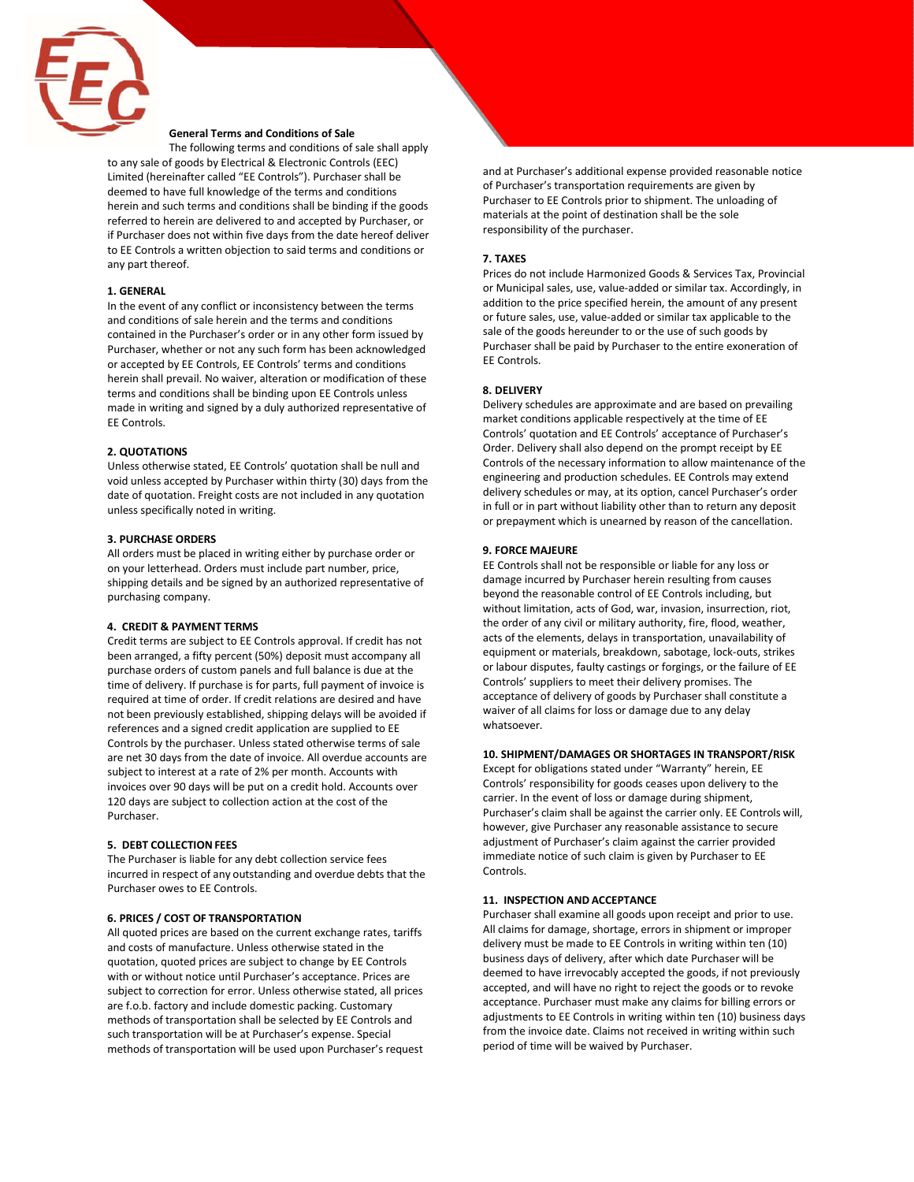

# **General Terms and Conditions of Sale**

The following terms and conditions of sale shall apply to any sale of goods by Electrical & Electronic Controls (EEC) Limited (hereinafter called "EE Controls"). Purchaser shall be deemed to have full knowledge of the terms and conditions herein and such terms and conditions shall be binding if the goods referred to herein are delivered to and accepted by Purchaser, or if Purchaser does not within five days from the date hereof deliver to EE Controls a written objection to said terms and conditions or any part thereof.

#### **1. GENERAL**

In the event of any conflict or inconsistency between the terms and conditions of sale herein and the terms and conditions contained in the Purchaser's order or in any other form issued by Purchaser, whether or not any such form has been acknowledged or accepted by EE Controls, EE Controls' terms and conditions herein shall prevail. No waiver, alteration or modification of these terms and conditions shall be binding upon EE Controls unless made in writing and signed by a duly authorized representative of EE Controls.

#### **2. QUOTATIONS**

Unless otherwise stated, EE Controls' quotation shall be null and void unless accepted by Purchaser within thirty (30) days from the date of quotation. Freight costs are not included in any quotation unless specifically noted in writing.

## **3. PURCHASE ORDERS**

All orders must be placed in writing either by purchase order or on your letterhead. Orders must include part number, price, shipping details and be signed by an authorized representative of purchasing company.

## **4. CREDIT & PAYMENT TERMS**

Credit terms are subject to EE Controls approval. If credit has not been arranged, a fifty percent (50%) deposit must accompany all purchase orders of custom panels and full balance is due at the time of delivery. If purchase is for parts, full payment of invoice is required at time of order. If credit relations are desired and have not been previously established, shipping delays will be avoided if references and a signed credit application are supplied to EE Controls by the purchaser. Unless stated otherwise terms of sale are net 30 days from the date of invoice. All overdue accounts are subject to interest at a rate of 2% per month. Accounts with invoices over 90 days will be put on a credit hold. Accounts over 120 days are subject to collection action at the cost of the Purchaser.

# **5. DEBT COLLECTIONFEES**

The Purchaser is liable for any debt collection service fees incurred in respect of any outstanding and overdue debts that the Purchaser owes to EE Controls.

#### **6. PRICES / COST OF TRANSPORTATION**

All quoted prices are based on the current exchange rates, tariffs and costs of manufacture. Unless otherwise stated in the quotation, quoted prices are subject to change by EE Controls with or without notice until Purchaser's acceptance. Prices are subject to correction for error. Unless otherwise stated, all prices are f.o.b. factory and include domestic packing. Customary methods of transportation shall be selected by EE Controls and such transportation will be at Purchaser's expense. Special methods of transportation will be used upon Purchaser's request and at Purchaser's additional expense provided reasonable notice of Purchaser's transportation requirements are given by Purchaser to EE Controls prior to shipment. The unloading of materials at the point of destination shall be the sole responsibility of the purchaser.

#### **7. TAXES**

Prices do not include Harmonized Goods & Services Tax, Provincial or Municipal sales, use, value-added or similar tax. Accordingly, in addition to the price specified herein, the amount of any present or future sales, use, value-added or similar tax applicable to the sale of the goods hereunder to or the use of such goods by Purchaser shall be paid by Purchaser to the entire exoneration of EE Controls.

### **8. DELIVERY**

Delivery schedules are approximate and are based on prevailing market conditions applicable respectively at the time of EE Controls' quotation and EE Controls' acceptance of Purchaser's Order. Delivery shall also depend on the prompt receipt by EE Controls of the necessary information to allow maintenance of the engineering and production schedules. EE Controls may extend delivery schedules or may, at its option, cancel Purchaser's order in full or in part without liability other than to return any deposit or prepayment which is unearned by reason of the cancellation.

#### **9. FORCE MAJEURE**

EE Controls shall not be responsible or liable for any loss or damage incurred by Purchaser herein resulting from causes beyond the reasonable control of EE Controls including, but without limitation, acts of God, war, invasion, insurrection, riot, the order of any civil or military authority, fire, flood, weather, acts of the elements, delays in transportation, unavailability of equipment or materials, breakdown, sabotage, lock-outs, strikes or labour disputes, faulty castings or forgings, or the failure of EE Controls' suppliers to meet their delivery promises. The acceptance of delivery of goods by Purchaser shall constitute a waiver of all claims for loss or damage due to any delay whatsoever.

#### **10. SHIPMENT/DAMAGES OR SHORTAGES IN TRANSPORT/RISK**

Except for obligations stated under "Warranty" herein, EE Controls' responsibility for goods ceases upon delivery to the carrier. In the event of loss or damage during shipment, Purchaser's claim shall be against the carrier only. EE Controls will, however, give Purchaser any reasonable assistance to secure adjustment of Purchaser's claim against the carrier provided immediate notice of such claim is given by Purchaser to EE Controls.

## **11. INSPECTION AND ACCEPTANCE**

Purchaser shall examine all goods upon receipt and prior to use. All claims for damage, shortage, errors in shipment or improper delivery must be made to EE Controls in writing within ten (10) business days of delivery, after which date Purchaser will be deemed to have irrevocably accepted the goods, if not previously accepted, and will have no right to reject the goods or to revoke acceptance. Purchaser must make any claims for billing errors or adjustments to EE Controls in writing within ten (10) business days from the invoice date. Claims not received in writing within such period of time will be waived by Purchaser.